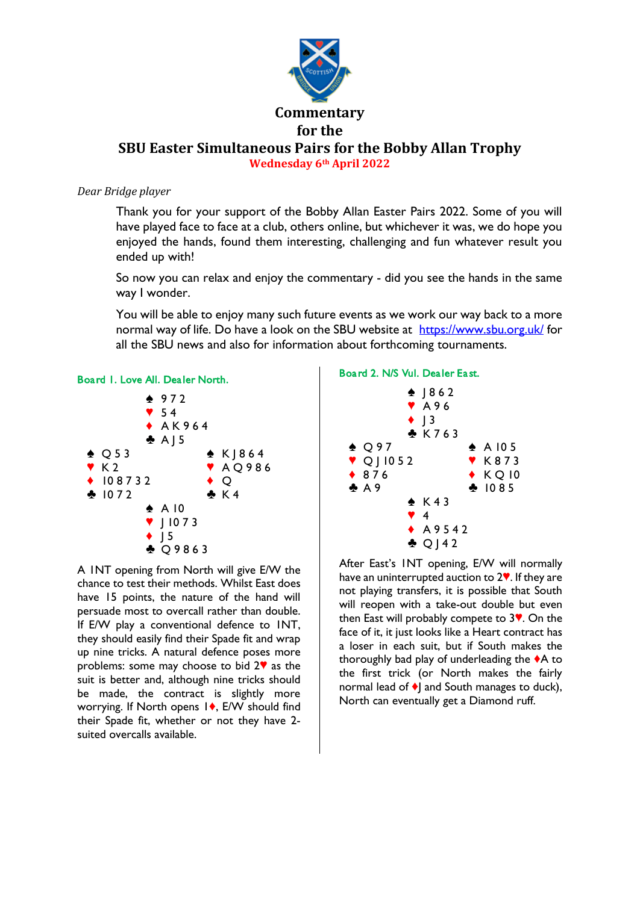

# *Dear Bridge player*

Thank you for your support of the Bobby Allan Easter Pairs 2022. Some of you will have played face to face at a club, others online, but whichever it was, we do hope you enjoyed the hands, found them interesting, challenging and fun whatever result you ended up with!

So now you can relax and enjoy the commentary - did you see the hands in the same way I wonder.

You will be able to enjoy many such future events as we work our way back to a more normal way of life. Do have a look on the SBU website at <https://www.sbu.org.uk/> for all the SBU news and also for information about forthcoming tournaments.



A 1NT opening from North will give E/W the chance to test their methods. Whilst East does have 15 points, the nature of the hand will persuade most to overcall rather than double. If E/W play a conventional defence to 1NT, they should easily find their Spade fit and wrap up nine tricks. A natural defence poses more problems: some may choose to bid  $2\mathbf{v}$  as the suit is better and, although nine tricks should be made, the contract is slightly more worrying. If North opens 1<sup>,</sup> E/W should find their Spade fit, whether or not they have 2 suited overcalls available.

# Board 2. N/S Vul. Dealer East.



After East's 1NT opening, E/W will normally have an uninterrupted auction to  $2\Psi$ . If they are not playing transfers, it is possible that South will reopen with a take-out double but even then East will probably compete to  $3$ . On the face of it, it just looks like a Heart contract has a loser in each suit, but if South makes the thoroughly bad play of underleading the  $\triangle$ A to the first trick (or North makes the fairly normal lead of  $\blacklozenge$  and South manages to duck), North can eventually get a Diamond ruff.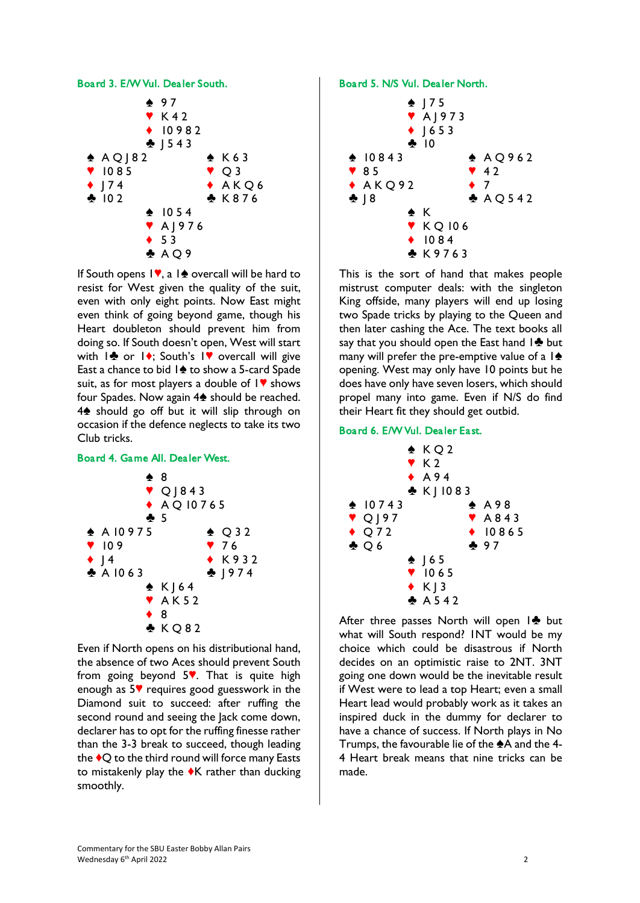

If South opens  $\mathbf{I}\blacktriangledown$ , a  $\mathbf{I}\blacktrianglelefteq$  overcall will be hard to resist for West given the quality of the suit, even with only eight points. Now East might even think of going beyond game, though his Heart doubleton should prevent him from doing so. If South doesn't open, West will start with  $1\clubsuit$  or  $1\spadesuit$ ; South's  $1\spadesuit$  overcall will give East a chance to bid  $1\spadesuit$  to show a 5-card Spade suit, as for most players a double of  $\mathsf{I}\blacktriangledown$  shows four Spades. Now again  $4\spadesuit$  should be reached.  $4\spadesuit$  should go off but it will slip through on occasion if the defence neglects to take its two Club tricks.

## Board 4. Game All. Dealer West.



Even if North opens on his distributional hand, the absence of two Aces should prevent South from going beyond  $5$ . That is quite high enough as  $5\blacktriangledown$  requires good guesswork in the Diamond suit to succeed: after ruffing the second round and seeing the Jack come down, declarer has to opt for the ruffing finesse rather than the 3-3 break to succeed, though leading the  $\bullet$ O to the third round will force many Easts to mistakenly play the  $\blacklozenge K$  rather than ducking smoothly.

Board 5. N/S Vul. Dealer North.



This is the sort of hand that makes people mistrust computer deals: with the singleton King offside, many players will end up losing two Spade tricks by playing to the Queen and then later cashing the Ace. The text books all say that you should open the East hand  $1\clubsuit$  but many will prefer the pre-emptive value of a  $\mathbf{A}$ opening. West may only have 10 points but he does have only have seven losers, which should propel many into game. Even if N/S do find their Heart fit they should get outbid.

### Board 6. E/W Vul. Dealer East.



After three passes North will open  $1$  but what will South respond? 1NT would be my choice which could be disastrous if North decides on an optimistic raise to 2NT. 3NT going one down would be the inevitable result if West were to lead a top Heart; even a small Heart lead would probably work as it takes an inspired duck in the dummy for declarer to have a chance of success. If North plays in No Trumps, the favourable lie of the  $A$  and the 4-4 Heart break means that nine tricks can be made.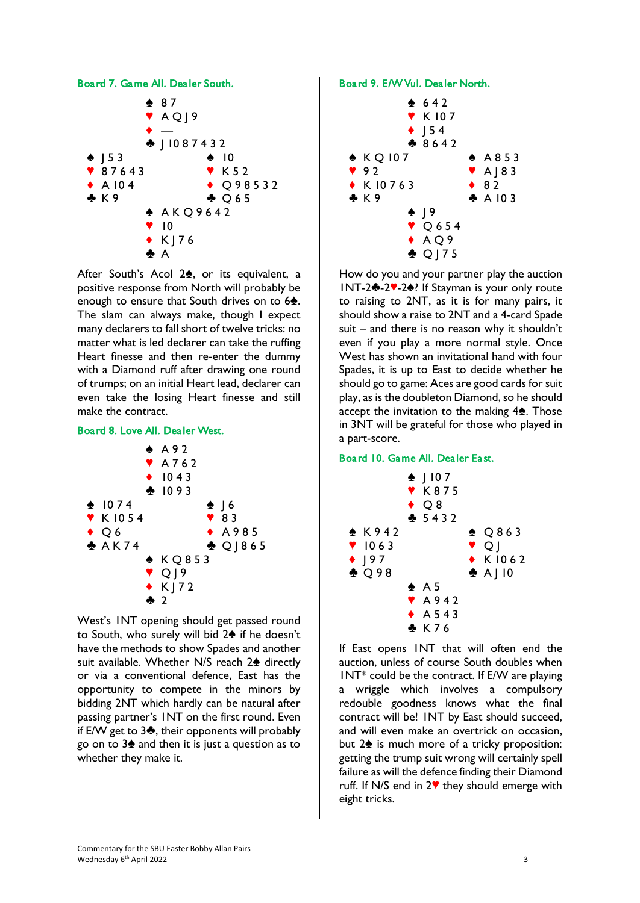### Board 7. Game All. Dealer South.



After South's Acol  $2\spadesuit$ , or its equivalent, a positive response from North will probably be enough to ensure that South drives on to  $6\text{\AA}$ . The slam can always make, though I expect many declarers to fall short of twelve tricks: no matter what is led declarer can take the ruffing Heart finesse and then re-enter the dummy with a Diamond ruff after drawing one round of trumps; on an initial Heart lead, declarer can even take the losing Heart finesse and still make the contract.

### Board 8. Love All. Dealer West.



West's 1NT opening should get passed round to South, who surely will bid 2<sup>h</sup> if he doesn't have the methods to show Spades and another suit available. Whether N/S reach 2<sup>4</sup> directly or via a conventional defence, East has the opportunity to compete in the minors by bidding 2NT which hardly can be natural after passing partner's 1NT on the first round. Even if E/W get to  $3\clubsuit$ , their opponents will probably go on to  $3\spadesuit$  and then it is just a question as to whether they make it.

## Board 9. E/W Vul. Dealer North.



How do you and your partner play the auction INT-2<sup>4</sup>-27-2<sup>4</sup>? If Stayman is your only route to raising to 2NT, as it is for many pairs, it should show a raise to 2NT and a 4-card Spade suit – and there is no reason why it shouldn't even if you play a more normal style. Once West has shown an invitational hand with four Spades, it is up to East to decide whether he should go to game: Aces are good cards for suit play, as is the doubleton Diamond, so he should accept the invitation to the making  $4\spadesuit$ . Those in 3NT will be grateful for those who played in a part-score.

## Board 10. Game All. Dealer East.



If East opens 1NT that will often end the auction, unless of course South doubles when  $INT*$  could be the contract. If E/W are playing a wriggle which involves a compulsory redouble goodness knows what the final contract will be! 1NT by East should succeed, and will even make an overtrick on occasion, but  $2\spadesuit$  is much more of a tricky proposition: getting the trump suit wrong will certainly spell failure as will the defence finding their Diamond ruff. If N/S end in  $2\%$  they should emerge with eight tricks.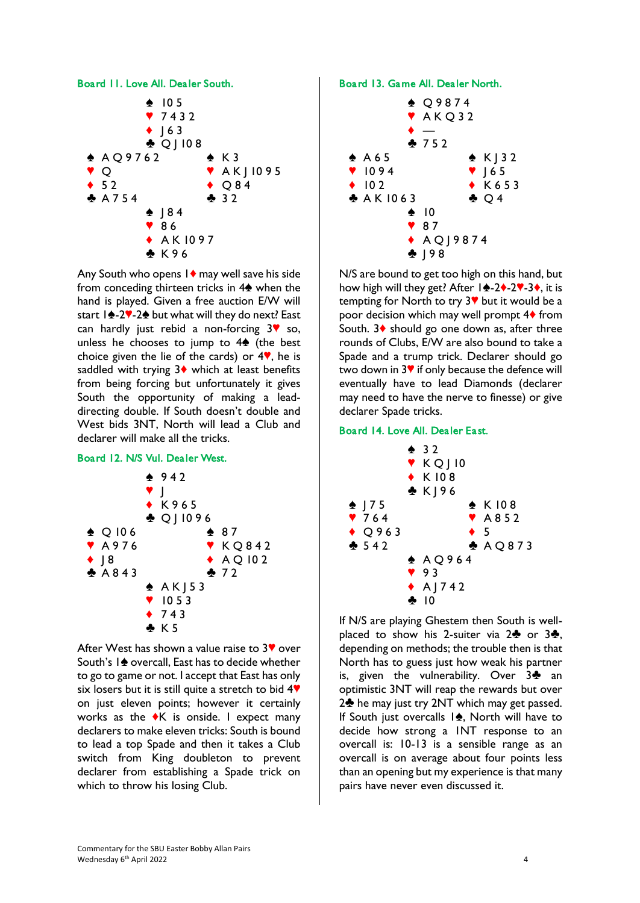

Any South who opens  $1\blacklozenge$  may well save his side from conceding thirteen tricks in  $4\spadesuit$  when the hand is played. Given a free auction E/W will start  $1\bigoplus 2\mathbb{V}$ -2 $\bigoplus$  but what will they do next? East can hardly just rebid a non-forcing  $3\sqrt{ }$  so, unless he chooses to jump to  $4\spadesuit$  (the best choice given the lie of the cards) or  $4$ , he is saddled with trying  $3\diamond$  which at least benefits from being forcing but unfortunately it gives South the opportunity of making a leaddirecting double. If South doesn't double and West bids 3NT, North will lead a Club and declarer will make all the tricks.

## Board 12. N/S Vul. Dealer West.



After West has shown a value raise to  $3\blacktriangledown$  over South's 1<sup> $\triangle$ </sup> overcall, East has to decide whether to go to game or not. I accept that East has only six losers but it is still quite a stretch to bid  $4\Psi$ on just eleven points; however it certainly works as the  $\blacklozenge K$  is onside. I expect many declarers to make eleven tricks: South is bound to lead a top Spade and then it takes a Club switch from King doubleton to prevent declarer from establishing a Spade trick on which to throw his losing Club.

### Board 13. Game All. Dealer North.



N/S are bound to get too high on this hand, but how high will they get? After  $1\angle 2$ . 2.  $3\angle 3$ , it is tempting for North to try  $3$ <sup> $\blacktriangledown$ </sup> but it would be a poor decision which may well prompt  $4\blacklozenge$  from South.  $3\blacklozenge$  should go one down as, after three rounds of Clubs, E/W are also bound to take a Spade and a trump trick. Declarer should go two down in  $3\blacktriangledown$  if only because the defence will eventually have to lead Diamonds (declarer may need to have the nerve to finesse) or give declarer Spade tricks.

# Board 14. Love All. Dealer East.



If N/S are playing Ghestem then South is wellplaced to show his 2-suiter via  $2\clubsuit$  or  $3\clubsuit$ , depending on methods; the trouble then is that North has to guess just how weak his partner is, given the vulnerability. Over  $3\clubsuit$  an optimistic 3NT will reap the rewards but over  $2\clubsuit$  he may just try 2NT which may get passed. If South just overcalls  $1\spadesuit$ , North will have to decide how strong a 1NT response to an overcall is: 10-13 is a sensible range as an overcall is on average about four points less than an opening but my experience is that many pairs have never even discussed it.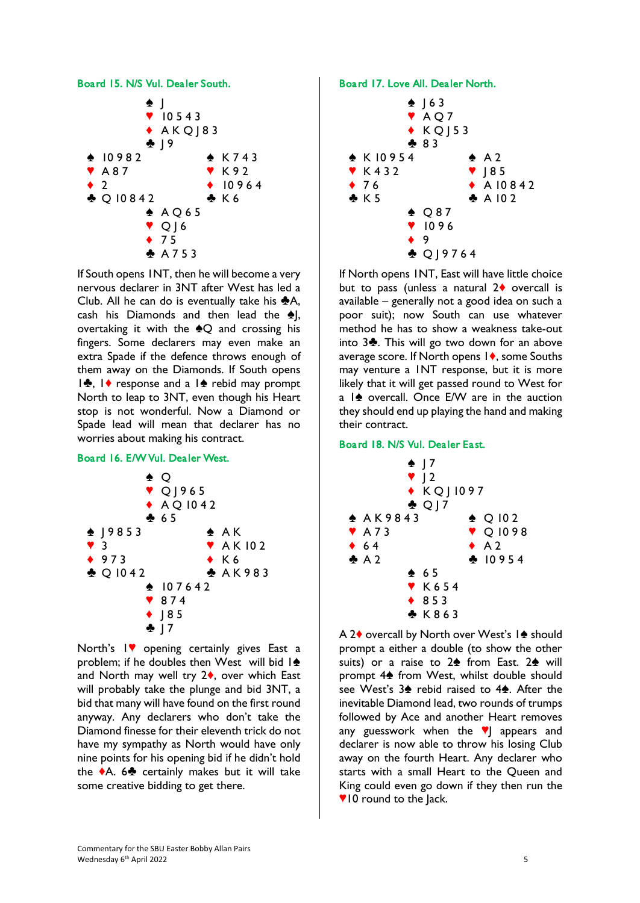

If South opens 1NT, then he will become a very nervous declarer in 3NT after West has led a Club. All he can do is eventually take his  $\clubsuit$ A, cash his Diamonds and then lead the  $\triangle$ , overtaking it with the  $\triangle Q$  and crossing his fingers. Some declarers may even make an extra Spade if the defence throws enough of them away on the Diamonds. If South opens  $\frac{1}{2}$ ,  $\frac{1}{2}$  response and a  $\frac{1}{2}$  rebid may prompt North to leap to 3NT, even though his Heart stop is not wonderful. Now a Diamond or Spade lead will mean that declarer has no worries about making his contract.

## Board 16. E/W Vul. Dealer West.



North's IV opening certainly gives East a problem; if he doubles then West will bid  $1\spadesuit$ and North may well try  $2\diamond$ , over which East will probably take the plunge and bid 3NT, a bid that many will have found on the first round anyway. Any declarers who don't take the Diamond finesse for their eleventh trick do not have my sympathy as North would have only nine points for his opening bid if he didn't hold the  $\triangle$ A. 6 $\triangle$  certainly makes but it will take some creative bidding to get there.

Board 17. Love All. Dealer North.



If North opens 1NT, East will have little choice but to pass (unless a natural  $2\diamond$  overcall is available – generally not a good idea on such a poor suit); now South can use whatever method he has to show a weakness take-out into  $3\clubsuit$ . This will go two down for an above average score. If North opens  $\mathsf{I}\blacklozenge$ , some Souths may venture a 1NT response, but it is more likely that it will get passed round to West for a  $1$  overcall. Once E/W are in the auction they should end up playing the hand and making their contract.

# Board 18. N/S Vul. Dealer East.



A 2<sup> $\bullet$ </sup> overcall by North over West's 1<sup> $\bullet$ </sup> should prompt a either a double (to show the other suits) or a raise to  $2\spadesuit$  from East.  $2\spadesuit$  will prompt 4<sup> $\spadesuit$ </sup> from West, whilst double should see West's  $3\spadesuit$  rebid raised to  $4\spadesuit$ . After the inevitable Diamond lead, two rounds of trumps followed by Ace and another Heart removes any guesswork when the  $\blacktriangledown$  appears and declarer is now able to throw his losing Club away on the fourth Heart. Any declarer who starts with a small Heart to the Queen and King could even go down if they then run the **VIO** round to the Jack.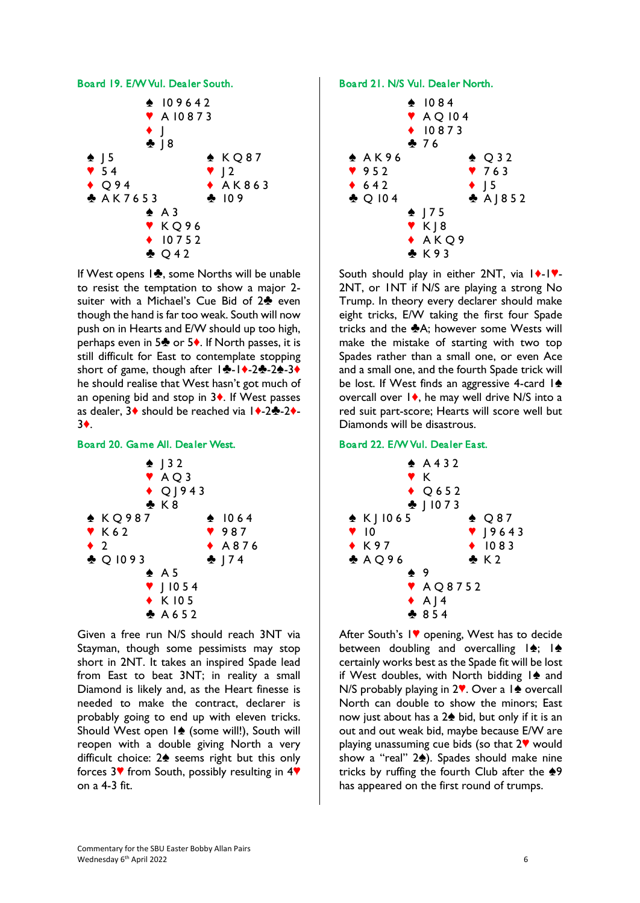

If West opens  $1\clubsuit$ , some Norths will be unable to resist the temptation to show a major 2 suiter with a Michael's Cue Bid of  $2\clubsuit$  even though the hand is far too weak. South will now push on in Hearts and E/W should up too high, perhaps even in 5 $\clubsuit$  or 5 $\spadesuit$ . If North passes, it is still difficult for East to contemplate stopping short of game, though after  $1\cdot - 2$ -2-24-3+ he should realise that West hasn't got much of an opening bid and stop in  $3\bullet$ . If West passes as dealer,  $3\blacklozenge$  should be reached via  $1\blacklozenge -2\blacklozenge -2\blacklozenge -1$ 3{.

# Board 20. Game All. Dealer West.



Given a free run N/S should reach 3NT via Stayman, though some pessimists may stop short in 2NT. It takes an inspired Spade lead from East to beat 3NT; in reality a small Diamond is likely and, as the Heart finesse is needed to make the contract, declarer is probably going to end up with eleven tricks. Should West open  $1\spadesuit$  (some will!), South will reopen with a double giving North a very difficult choice:  $2\spadesuit$  seems right but this only forces  $3\blacktriangledown$  from South, possibly resulting in  $4\blacktriangledown$ on a 4-3 fit.

# Board 21. N/S Vul. Dealer North.



South should play in either 2NT, via  $|\cdot|$ . 2NT, or 1NT if N/S are playing a strong No Trump. In theory every declarer should make eight tricks, E/W taking the first four Spade tricks and the  $\clubsuit$ A; however some Wests will make the mistake of starting with two top Spades rather than a small one, or even Ace and a small one, and the fourth Spade trick will be lost. If West finds an aggressive 4-card  $\mathbf{I}\spadesuit$ overcall over  $1\blacklozenge$ , he may well drive N/S into a red suit part-score; Hearts will score well but Diamonds will be disastrous.

# Board 22. E/W Vul. Dealer East.



After South's IV opening, West has to decide between doubling and overcalling  $|\spadesuit|$ ;  $|\spadesuit|$ certainly works best as the Spade fit will be lost if West doubles, with North bidding  $1\spadesuit$  and N/S probably playing in  $2$ . Over a  $1$  overcall North can double to show the minors; East now just about has a  $2\spadesuit$  bid, but only if it is an out and out weak bid, maybe because E/W are playing unassuming cue bids (so that  $2\mathbf{v}$  would show a "real" 2<sup>.</sup>). Spades should make nine tricks by ruffing the fourth Club after the  $\clubsuit$ 9 has appeared on the first round of trumps.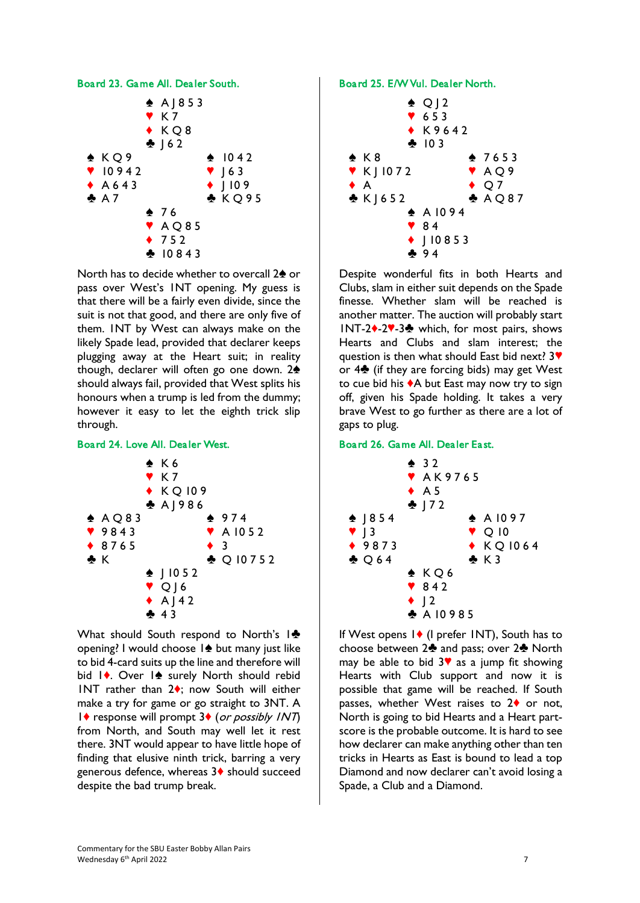

North has to decide whether to overcall 2<sup>4</sup> or pass over West's 1NT opening. My guess is that there will be a fairly even divide, since the suit is not that good, and there are only five of them. 1NT by West can always make on the likely Spade lead, provided that declarer keeps plugging away at the Heart suit; in reality though, declarer will often go one down.  $2\spadesuit$ should always fail, provided that West splits his honours when a trump is led from the dummy; however it easy to let the eighth trick slip through.

## Board 24. Love All. Dealer West.



What should South respond to North's  $\mathbf{I}$ opening? I would choose  $1\blacktriangle$  but many just like to bid 4-card suits up the line and therefore will bid 1<sup> $\bullet$ </sup>. Over 1<sup> $\bullet$ </sup> surely North should rebid INT rather than  $2\diamond$ ; now South will either make a try for game or go straight to 3NT. A  $1\blacklozenge$  response will prompt  $3\blacklozenge$  (or possibly  $1NT$ ) from North, and South may well let it rest there. 3NT would appear to have little hope of finding that elusive ninth trick, barring a very generous defence, whereas 3<sup> $\bullet$ </sup> should succeed despite the bad trump break.

## Board 25. E/W Vul. Dealer North.



Despite wonderful fits in both Hearts and Clubs, slam in either suit depends on the Spade finesse. Whether slam will be reached is another matter. The auction will probably start  $INT-2$  $-2$  $-3$  which, for most pairs, shows Hearts and Clubs and slam interest; the question is then what should East bid next?  $3$ or  $4\clubsuit$  (if they are forcing bids) may get West to cue bid his  $\triangle A$  but East may now try to sign off, given his Spade holding. It takes a very brave West to go further as there are a lot of gaps to plug.

# Board 26. Game All. Dealer East.



If West opens  $1 \bullet$  (I prefer INT), South has to choose between  $2\clubsuit$  and pass; over  $2\clubsuit$  North may be able to bid  $3\blacktriangledown$  as a jump fit showing Hearts with Club support and now it is possible that game will be reached. If South passes, whether West raises to  $2\blacklozenge$  or not, North is going to bid Hearts and a Heart partscore is the probable outcome. It is hard to see how declarer can make anything other than ten tricks in Hearts as East is bound to lead a top Diamond and now declarer can't avoid losing a Spade, a Club and a Diamond.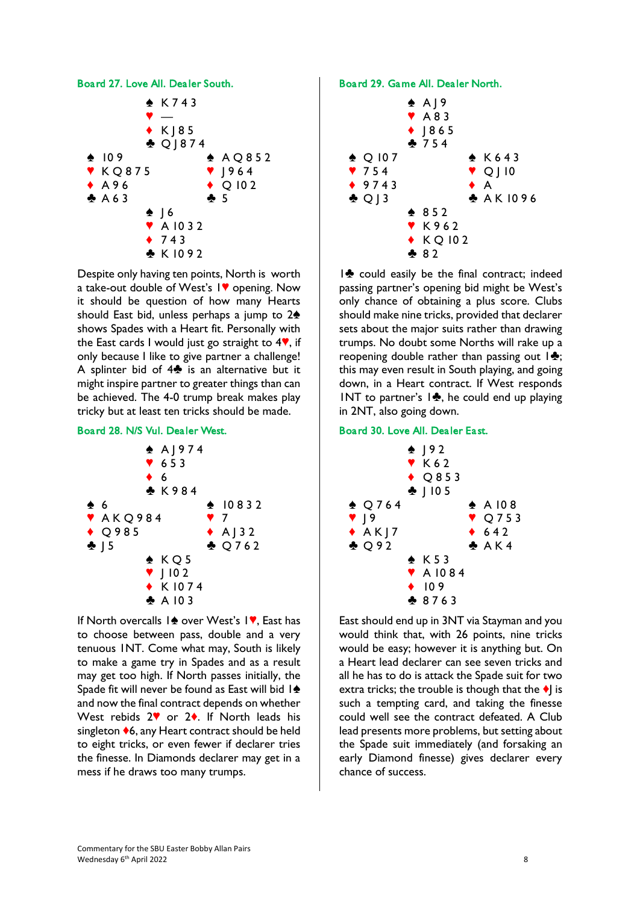



Despite only having ten points, North is worth a take-out double of West's IV opening. Now it should be question of how many Hearts should East bid, unless perhaps a jump to  $2\spadesuit$ shows Spades with a Heart fit. Personally with the East cards I would just go straight to  $4\%$ , if only because I like to give partner a challenge! A splinter bid of  $4\clubsuit$  is an alternative but it might inspire partner to greater things than can be achieved. The 4-0 trump break makes play tricky but at least ten tricks should be made.

### Board 28. N/S Vul. Dealer West.



If North overcalls  $1\spadesuit$  over West's  $1\spadesuit$ , East has to choose between pass, double and a very tenuous 1NT. Come what may, South is likely to make a game try in Spades and as a result may get too high. If North passes initially, the Spade fit will never be found as East will bid  $1\spadesuit$ and now the final contract depends on whether West rebids  $2\%$  or  $2\spadesuit$ . If North leads his singleton  $\diamond$ 6, any Heart contract should be held to eight tricks, or even fewer if declarer tries the finesse. In Diamonds declarer may get in a mess if he draws too many trumps.

### Board 29. Game All. Dealer North.



 $1$  could easily be the final contract; indeed passing partner's opening bid might be West's only chance of obtaining a plus score. Clubs should make nine tricks, provided that declarer sets about the major suits rather than drawing trumps. No doubt some Norths will rake up a reopening double rather than passing out  $\mathbf{1}\cdot\mathbf{\bullet}$ ; this may even result in South playing, and going down, in a Heart contract. If West responds INT to partner's  $\mathbf{I}$ , he could end up playing in 2NT, also going down.

### Board 30. Love All. Dealer East.



East should end up in 3NT via Stayman and you would think that, with 26 points, nine tricks would be easy; however it is anything but. On a Heart lead declarer can see seven tricks and all he has to do is attack the Spade suit for two extra tricks; the trouble is though that the  $\blacklozenge$  is such a tempting card, and taking the finesse could well see the contract defeated. A Club lead presents more problems, but setting about the Spade suit immediately (and forsaking an early Diamond finesse) gives declarer every chance of success.